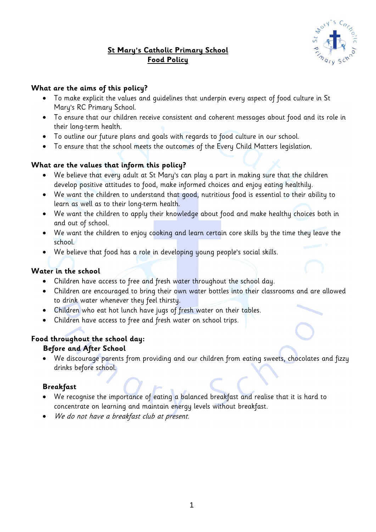# **St Mary's Catholic Primary School Food Policy**



## **What are the aims of this policy?**

- To make explicit the values and guidelines that underpin every aspect of food culture in St Mary's RC Primary School.
- To ensure that our children receive consistent and coherent messages about food and its role in their long-term health.
- To outline our future plans and goals with regards to food culture in our school.
- To ensure that the school meets the outcomes of the Every Child Matters legislation.

## **What are the values that inform this policy?**

- We believe that every adult at St Mary's can play a part in making sure that the children develop positive attitudes to food, make informed choices and enjoy eating healthily.
- We want the children to understand that good, nutritious food is essential to their ability to learn as well as to their long-term health.
- We want the children to apply their knowledge about food and make healthy choices both in and out of school.
- We want the children to enjoy cooking and learn certain core skills by the time they leave the school.
- We believe that food has a role in developing young people's social skills.

### **Water in the school**

- Children have access to free and fresh water throughout the school day.
- Children are encouraged to bring their own water bottles into their classrooms and are allowed to drink water whenever they feel thirsty.
- Children who eat hot lunch have jugs of fresh water on their tables.
- Children have access to free and fresh water on school trips.

### **Food throughout the school day:**

### **Before and After School**

• We discourage parents from providing and our children from eating sweets, chocolates and fizzy drinks before school.

### **Breakfast**

- We recognise the importance of eating a balanced breakfast and realise that it is hard to concentrate on learning and maintain energy levels without breakfast.
- We do not have a breakfast club at present.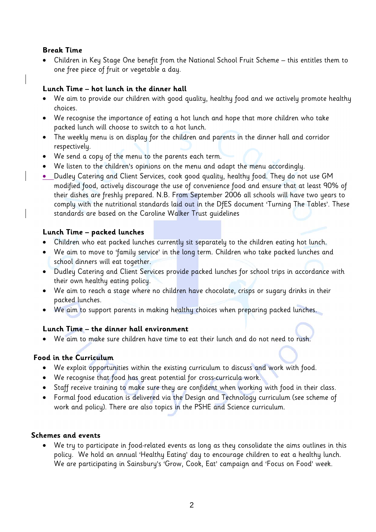### **Break Time**

• Children in Key Stage One benefit from the National School Fruit Scheme – this entitles them to one free piece of fruit or vegetable a day.

### **Lunch Time – hot lunch in the dinner hall**

- We aim to provide our children with good quality, healthy food and we actively promote healthy choices.
- We recognise the importance of eating a hot lunch and hope that more children who take packed lunch will choose to switch to a hot lunch.
- The weekly menu is on display for the children and parents in the dinner hall and corridor respectively.
- We send a copy of the menu to the parents each term.
- We listen to the children's opinions on the menu and adapt the menu accordingly.
- Dudley Catering and Client Services, cook good quality, healthy food. They do not use GM modified food, actively discourage the use of convenience food and ensure that at least 90% of their dishes are freshly prepared. N.B. From September 2006 all schools will have two years to comply with the nutritional standards laid out in the DfES document 'Turning The Tables'. These standards are based on the Caroline Walker Trust guidelines

### **Lunch Time – packed lunches**

- Children who eat packed lunches currently sit separately to the children eating hot lunch.
- We aim to move to 'family service' in the long term. Children who take packed lunches and school dinners will eat together.
- Dudley Catering and Client Services provide packed lunches for school trips in accordance with their own healthy eating policy.
- We aim to reach a stage where no children have chocolate, crisps or sugary drinks in their packed lunches.
- We aim to support parents in making healthy choices when preparing packed lunches.

### **Lunch Time – the dinner hall environment**

• We aim to make sure children have time to eat their lunch and do not need to rush.

### **Food in the Curriculum**

- We exploit opportunities within the existing curriculum to discuss and work with food.
- We recognise that food has great potential for cross-curricula work.
- Staff receive training to make sure they are confident when working with food in their class.
- Formal food education is delivered via the Design and Technology curriculum (see scheme of work and policy). There are also topics in the PSHE and Science curriculum.

#### **Schemes and events**

• We try to participate in food-related events as long as they consolidate the aims outlines in this policy. We hold an annual 'Healthy Eating' day to encourage children to eat a healthy lunch. We are participating in Sainsbury's 'Grow, Cook, Eat' campaign and 'Focus on Food' week.